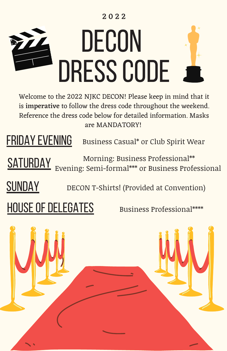## 2 0 2 2



Welcome to the 2022 NJKC DECON! Please keep in mind that it is imperative to follow the dress code throughout the weekend. Reference the dress code below for detailed information. Masks are MANDATORY!

FRIDAY EVENING Business Casual\* or Club Spirit Wear

Morning: Business Professional\*\*<br>Evening: Semi-formal\*\*\* or Business Profe Evening: Semi-formal\*\*\* or Business Professional

**SUNDAY** DECON T-Shirts! (Provided at Convention)

HOUSE OF DELEGATES Business Professional\*\*\*\*